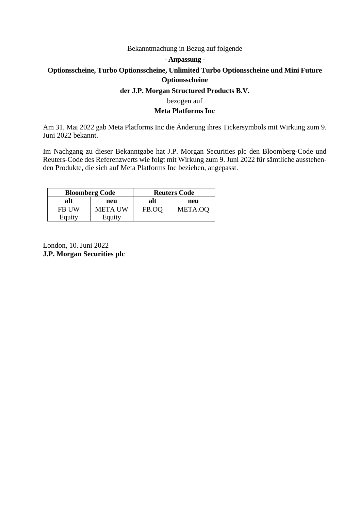### Bekanntmachung in Bezug auf folgende

### **- Anpassung -**

# **Optionsscheine, Turbo Optionsscheine, Unlimited Turbo Optionsscheine und Mini Future Optionsscheine**

## **der J.P. Morgan Structured Products B.V.**

bezogen auf

### **Meta Platforms Inc**

Am 31. Mai 2022 gab Meta Platforms Inc die Änderung ihres Tickersymbols mit Wirkung zum 9. Juni 2022 bekannt.

Im Nachgang zu dieser Bekanntgabe hat J.P. Morgan Securities plc den Bloomberg-Code und Reuters-Code des Referenzwerts wie folgt mit Wirkung zum 9. Juni 2022 für sämtliche ausstehenden Produkte, die sich auf Meta Platforms Inc beziehen, angepasst.

| <b>Bloomberg Code</b> |                | <b>Reuters Code</b> |         |
|-----------------------|----------------|---------------------|---------|
| alt                   | neu            | alt                 | neu     |
| FB UW                 | <b>META UW</b> | FB.OO               | META.OQ |
| Equity                | Equity         |                     |         |

London, 10. Juni 2022 **J.P. Morgan Securities plc**